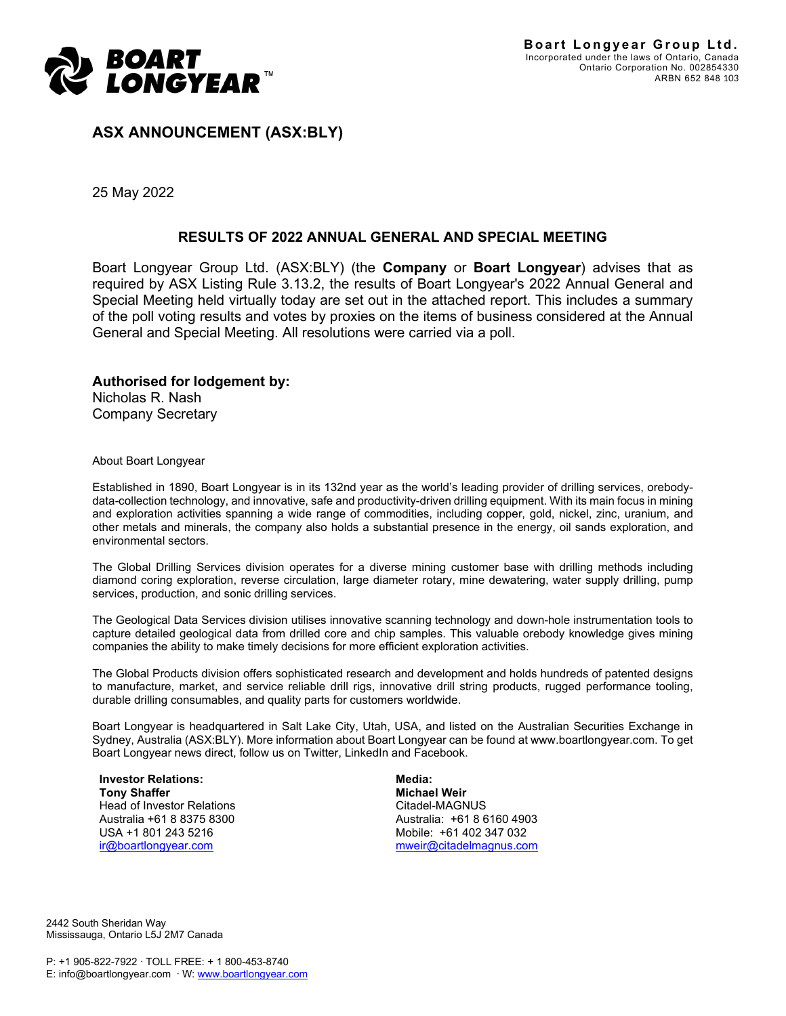

**ASX ANNOUNCEMENT (ASX:BLY)**

25 May 2022

### **RESULTS OF 2022 ANNUAL GENERAL AND SPECIAL MEETING**

Boart Longyear Group Ltd. (ASX:BLY) (the **Company** or **Boart Longyear**) advises that as required by ASX Listing Rule 3.13.2, the results of Boart Longyear's 2022 Annual General and Special Meeting held virtually today are set out in the attached report. This includes a summary of the poll voting results and votes by proxies on the items of business considered at the Annual General and Special Meeting. All resolutions were carried via a poll.

### **Authorised for lodgement by:** Nicholas R. Nash

Company Secretary

About Boart Longyear

Established in 1890, Boart Longyear is in its 132nd year as the world's leading provider of drilling services, orebodydata-collection technology, and innovative, safe and productivity-driven drilling equipment. With its main focus in mining and exploration activities spanning a wide range of commodities, including copper, gold, nickel, zinc, uranium, and other metals and minerals, the company also holds a substantial presence in the energy, oil sands exploration, and environmental sectors.

The Global Drilling Services division operates for a diverse mining customer base with drilling methods including diamond coring exploration, reverse circulation, large diameter rotary, mine dewatering, water supply drilling, pump services, production, and sonic drilling services.

The Geological Data Services division utilises innovative scanning technology and down-hole instrumentation tools to capture detailed geological data from drilled core and chip samples. This valuable orebody knowledge gives mining companies the ability to make timely decisions for more efficient exploration activities.

The Global Products division offers sophisticated research and development and holds hundreds of patented designs to manufacture, market, and service reliable drill rigs, innovative drill string products, rugged performance tooling, durable drilling consumables, and quality parts for customers worldwide.

Boart Longyear is headquartered in Salt Lake City, Utah, USA, and listed on the Australian Securities Exchange in Sydney, Australia (ASX:BLY). More information about Boart Longyear can be found at www.boartlongyear.com. To get Boart Longyear news direct, follow us on Twitter, LinkedIn and Facebook.

**Investor Relations: Tony Shaffer** Head of Investor Relations Australia +61 8 8375 8300 USA +1 801 243 5216 [ir@boartlongyear.com](mailto:ir@boartlongyear.com)

**Media: Michael Weir** Citadel-MAGNUS Australia: +61 8 6160 4903 Mobile: +61 402 347 032 [mweir@citadelmagnus.com](mailto:mweir@citadelmagnus.com)

2442 South Sheridan Way Mississauga, Ontario L5J 2M7 Canada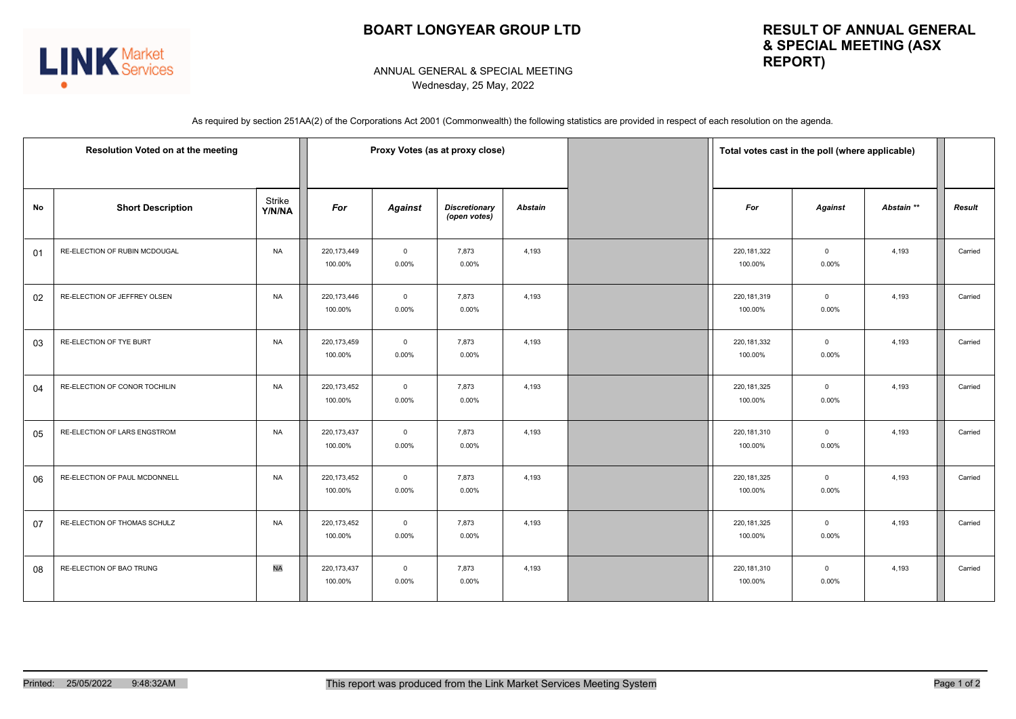# **BOART LONGYEAR GROUP LTD**



## **RESULT OF ANNUAL GENERAL & SPECIAL MEETING (ASX REPORT)**

#### ANNUAL GENERAL & SPECIAL MEETING Wednesday, 25 May, 2022

As required by section 251AA(2) of the Corporations Act 2001 (Commonwealth) the following statistics are provided in respect of each resolution on the agenda.

|    | Resolution Voted on at the meeting | Proxy Votes (as at proxy close) |                          |                            |                                      | Total votes cast in the poll (where applicable) |                          |                            |            |               |
|----|------------------------------------|---------------------------------|--------------------------|----------------------------|--------------------------------------|-------------------------------------------------|--------------------------|----------------------------|------------|---------------|
| No | <b>Short Description</b>           | Strike<br>Y/N/NA                | For                      | <b>Against</b>             | <b>Discretionary</b><br>(open votes) | <b>Abstain</b>                                  | For                      | <b>Against</b>             | Abstain ** | <b>Result</b> |
| 01 | RE-ELECTION OF RUBIN MCDOUGAL      | <b>NA</b>                       | 220,173,449<br>100.00%   | $\overline{0}$<br>0.00%    | 7,873<br>0.00%                       | 4,193                                           | 220, 181, 322<br>100.00% | $\overline{0}$<br>0.00%    | 4,193      | Carried       |
| 02 | RE-ELECTION OF JEFFREY OLSEN       | <b>NA</b>                       | 220, 173, 446<br>100.00% | $\overline{0}$<br>$0.00\%$ | 7,873<br>0.00%                       | 4,193                                           | 220, 181, 319<br>100.00% | $\overline{0}$<br>$0.00\%$ | 4,193      | Carried       |
| 03 | RE-ELECTION OF TYE BURT            | <b>NA</b>                       | 220,173,459<br>100.00%   | $\overline{0}$<br>$0.00\%$ | 7,873<br>0.00%                       | 4,193                                           | 220, 181, 332<br>100.00% | $\overline{0}$<br>$0.00\%$ | 4,193      | Carried       |
| 04 | RE-ELECTION OF CONOR TOCHILIN      | <b>NA</b>                       | 220, 173, 452<br>100.00% | $\overline{0}$<br>0.00%    | 7,873<br>0.00%                       | 4,193                                           | 220, 181, 325<br>100.00% | $\mathbf{0}$<br>0.00%      | 4,193      | Carried       |
| 05 | RE-ELECTION OF LARS ENGSTROM       | <b>NA</b>                       | 220, 173, 437<br>100.00% | $\overline{0}$<br>0.00%    | 7,873<br>0.00%                       | 4,193                                           | 220, 181, 310<br>100.00% | $\mathbf 0$<br>0.00%       | 4,193      | Carried       |
| 06 | RE-ELECTION OF PAUL MCDONNELL      | <b>NA</b>                       | 220, 173, 452<br>100.00% | $\mathsf 0$<br>$0.00\%$    | 7,873<br>0.00%                       | 4,193                                           | 220, 181, 325<br>100.00% | $\mathbf{0}$<br>0.00%      | 4,193      | Carried       |
| 07 | RE-ELECTION OF THOMAS SCHULZ       | <b>NA</b>                       | 220,173,452<br>100.00%   | $\overline{0}$<br>0.00%    | 7,873<br>0.00%                       | 4,193                                           | 220, 181, 325<br>100.00% | $\mathbf{0}$<br>0.00%      | 4,193      | Carried       |
| 08 | RE-ELECTION OF BAO TRUNG           | <b>NA</b>                       | 220, 173, 437<br>100.00% | $\overline{0}$<br>0.00%    | 7,873<br>0.00%                       | 4,193                                           | 220, 181, 310<br>100.00% | $\mathbf{0}$<br>0.00%      | 4,193      | Carried       |